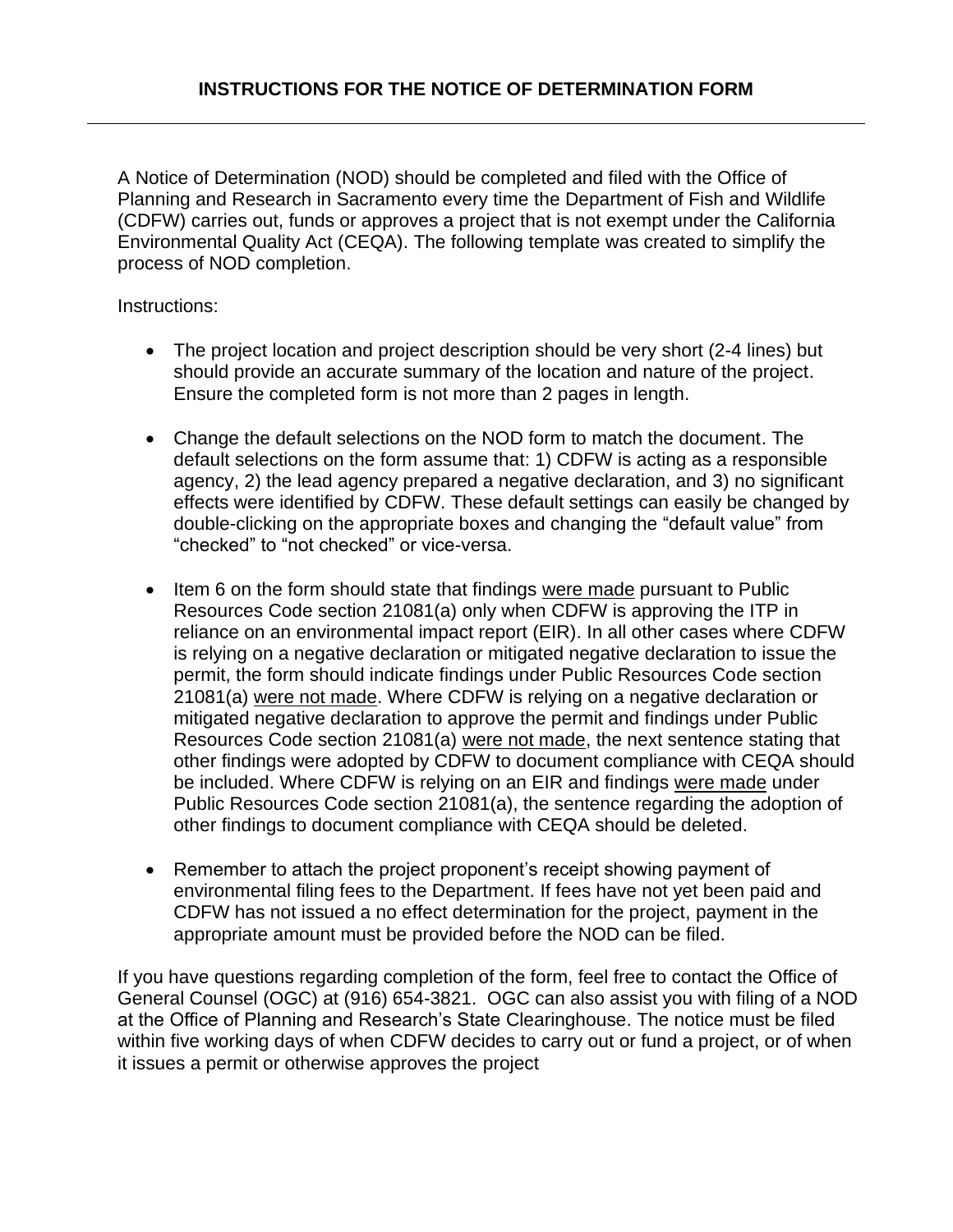A Notice of Determination (NOD) should be completed and filed with the Office of Planning and Research in Sacramento every time the Department of Fish and Wildlife (CDFW) carries out, funds or approves a project that is not exempt under the California Environmental Quality Act (CEQA). The following template was created to simplify the process of NOD completion.

Instructions:

- The project location and project description should be very short (2-4 lines) but should provide an accurate summary of the location and nature of the project. Ensure the completed form is not more than 2 pages in length.
- Change the default selections on the NOD form to match the document. The default selections on the form assume that: 1) CDFW is acting as a responsible agency, 2) the lead agency prepared a negative declaration, and 3) no significant effects were identified by CDFW. These default settings can easily be changed by double-clicking on the appropriate boxes and changing the "default value" from "checked" to "not checked" or vice-versa.
- Item 6 on the form should state that findings were made pursuant to Public Resources Code section 21081(a) only when CDFW is approving the ITP in reliance on an environmental impact report (EIR). In all other cases where CDFW is relying on a negative declaration or mitigated negative declaration to issue the permit, the form should indicate findings under Public Resources Code section 21081(a) were not made. Where CDFW is relying on a negative declaration or mitigated negative declaration to approve the permit and findings under Public Resources Code section 21081(a) were not made, the next sentence stating that other findings were adopted by CDFW to document compliance with CEQA should be included. Where CDFW is relying on an EIR and findings were made under Public Resources Code section 21081(a), the sentence regarding the adoption of other findings to document compliance with CEQA should be deleted.
- Remember to attach the project proponent's receipt showing payment of environmental filing fees to the Department. If fees have not yet been paid and CDFW has not issued a no effect determination for the project, payment in the appropriate amount must be provided before the NOD can be filed.

If you have questions regarding completion of the form, feel free to contact the Office of General Counsel (OGC) at (916) 654-3821. OGC can also assist you with filing of a NOD at the Office of Planning and Research's State Clearinghouse. The notice must be filed within five working days of when CDFW decides to carry out or fund a project, or of when it issues a permit or otherwise approves the project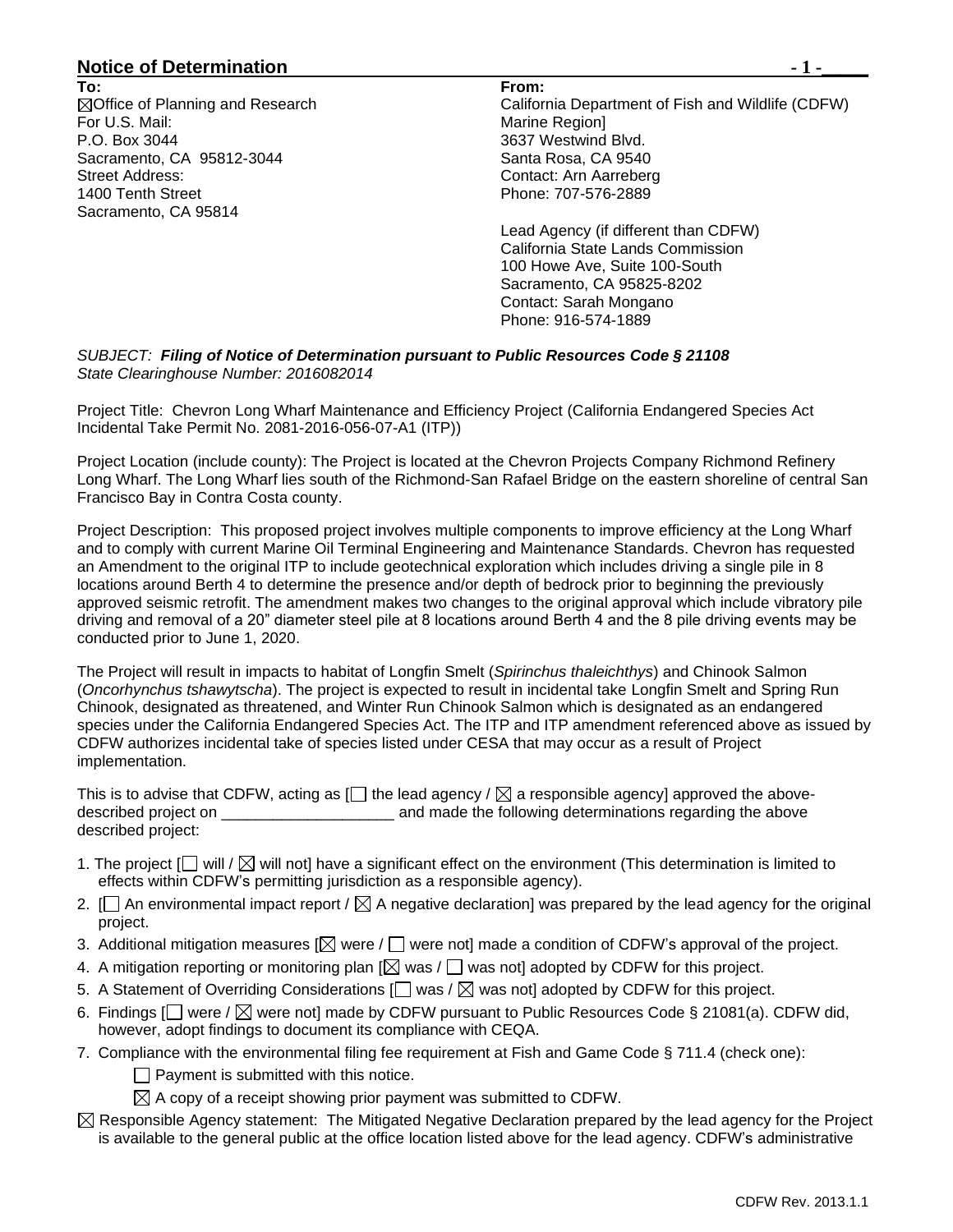## **Notice of Determination**  $\qquad \qquad$  **1 -**

**To: ⊠Office of Planning and Research** For U.S. Mail: P.O. Box 3044 Sacramento, CA 95812-3044 Street Address: 1400 Tenth Street Sacramento, CA 95814

**From:** California Department of Fish and Wildlife (CDFW) Marine Region] 3637 Westwind Blvd. Santa Rosa, CA 9540 Contact: Arn Aarreberg Phone: 707-576-2889

Lead Agency (if different than CDFW) California State Lands Commission 100 Howe Ave, Suite 100-South Sacramento, CA 95825-8202 Contact: Sarah Mongano Phone: 916-574-1889

*SUBJECT: Filing of Notice of Determination pursuant to Public Resources Code § 21108 State Clearinghouse Number: 2016082014*

Project Title: Chevron Long Wharf Maintenance and Efficiency Project (California Endangered Species Act Incidental Take Permit No. 2081-2016-056-07-A1 (ITP))

Project Location (include county): The Project is located at the Chevron Projects Company Richmond Refinery Long Wharf. The Long Wharf lies south of the Richmond-San Rafael Bridge on the eastern shoreline of central San Francisco Bay in Contra Costa county.

Project Description: This proposed project involves multiple components to improve efficiency at the Long Wharf and to comply with current Marine Oil Terminal Engineering and Maintenance Standards. Chevron has requested an Amendment to the original ITP to include geotechnical exploration which includes driving a single pile in 8 locations around Berth 4 to determine the presence and/or depth of bedrock prior to beginning the previously approved seismic retrofit. The amendment makes two changes to the original approval which include vibratory pile driving and removal of a 20" diameter steel pile at 8 locations around Berth 4 and the 8 pile driving events may be conducted prior to June 1, 2020.

The Project will result in impacts to habitat of Longfin Smelt (*Spirinchus thaleichthys*) and Chinook Salmon (*Oncorhynchus tshawytscha*). The project is expected to result in incidental take Longfin Smelt and Spring Run Chinook, designated as threatened, and Winter Run Chinook Salmon which is designated as an endangered species under the California Endangered Species Act. The ITP and ITP amendment referenced above as issued by CDFW authorizes incidental take of species listed under CESA that may occur as a result of Project implementation.

This is to advise that CDFW, acting as  $[]$  the lead agency /  $\boxtimes$  a responsible agency] approved the abovedescribed project on  $\qquad \qquad \qquad$  and made the following determinations regarding the above described project:

- 1. The project  $[\Box]$  will /  $[\Box]$  will not] have a significant effect on the environment (This determination is limited to effects within CDFW's permitting jurisdiction as a responsible agency).
- 2.  $\Box$  An environmental impact report /  $\boxtimes$  A negative declaration] was prepared by the lead agency for the original project.
- 3. Additional mitigation measures  $[\boxtimes]$  were  $/\Box$  were not] made a condition of CDFW's approval of the project.
- 4. A mitigation reporting or monitoring plan  $[\boxtimes]$  was /  $\Box$  was not] adopted by CDFW for this project.
- 5. A Statement of Overriding Considerations  $\Box$  was /  $\boxtimes$  was not] adopted by CDFW for this project.
- 6. Findings  $\Box$  were /  $\boxtimes$  were not] made by CDFW pursuant to Public Resources Code § 21081(a). CDFW did, however, adopt findings to document its compliance with CEQA.
- 7. Compliance with the environmental filing fee requirement at Fish and Game Code § 711.4 (check one):
	- $\Box$  Payment is submitted with this notice.
	- $\boxtimes$  A copy of a receipt showing prior payment was submitted to CDFW.
- $\boxtimes$  Responsible Agency statement: The Mitigated Negative Declaration prepared by the lead agency for the Project is available to the general public at the office location listed above for the lead agency. CDFW's administrative